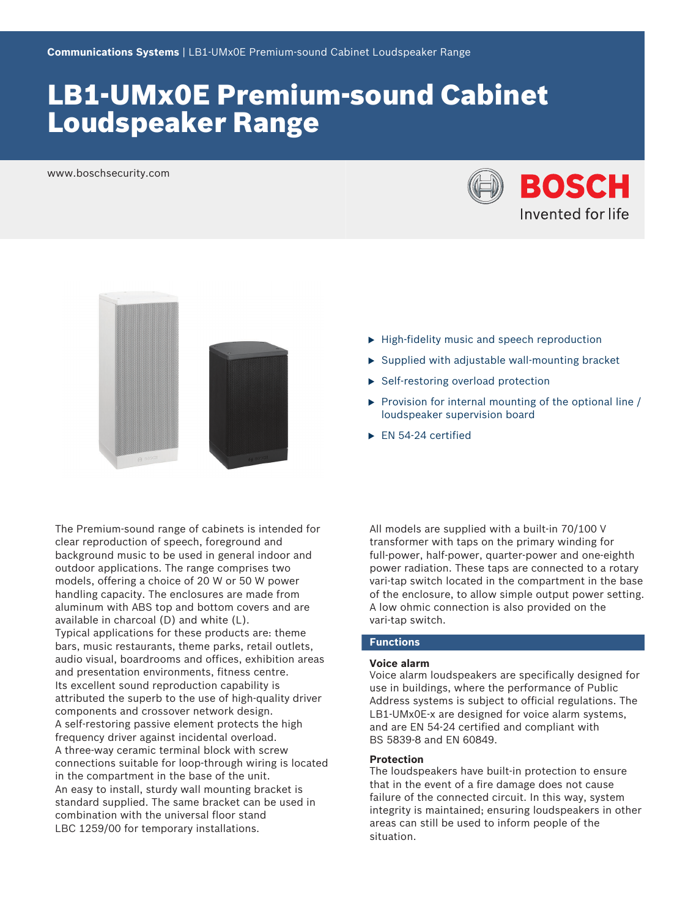# LB1‑UMx0E Premium‑sound Cabinet Loudspeaker Range

www.boschsecurity.com





The Premium‑sound range of cabinets is intended for clear reproduction of speech, foreground and background music to be used in general indoor and outdoor applications. The range comprises two models, offering a choice of 20 W or 50 W power handling capacity. The enclosures are made from aluminum with ABS top and bottom covers and are available in charcoal (D) and white (L). Typical applications for these products are: theme bars, music restaurants, theme parks, retail outlets, audio visual, boardrooms and offices, exhibition areas and presentation environments, fitness centre. Its excellent sound reproduction capability is attributed the superb to the use of high-quality driver components and crossover network design. A self-restoring passive element protects the high frequency driver against incidental overload. A three‑way ceramic terminal block with screw connections suitable for loop-through wiring is located in the compartment in the base of the unit. An easy to install, sturdy wall mounting bracket is standard supplied. The same bracket can be used in combination with the universal floor stand LBC 1259/00 for temporary installations.

- $\blacktriangleright$  High-fidelity music and speech reproduction
- $\triangleright$  Supplied with adjustable wall-mounting bracket
- $\blacktriangleright$  Self-restoring overload protection
- $\triangleright$  Provision for internal mounting of the optional line / loudspeaker supervision board
- $\blacktriangleright$  EN 54-24 certified

All models are supplied with a built-in 70/100 V transformer with taps on the primary winding for full-power, half-power, quarter-power and one-eighth power radiation. These taps are connected to a rotary vari-tap switch located in the compartment in the base of the enclosure, to allow simple output power setting. A low ohmic connection is also provided on the vari-tap switch.

### **Functions**

# **Voice alarm**

Voice alarm loudspeakers are specifically designed for use in buildings, where the performance of Public Address systems is subject to official regulations. The LB1-UMx0E-x are designed for voice alarm systems, and are EN 54‑24 certified and compliant with BS 5839‑8 and EN 60849.

### **Protection**

The loudspeakers have built-in protection to ensure that in the event of a fire damage does not cause failure of the connected circuit. In this way, system integrity is maintained; ensuring loudspeakers in other areas can still be used to inform people of the situation.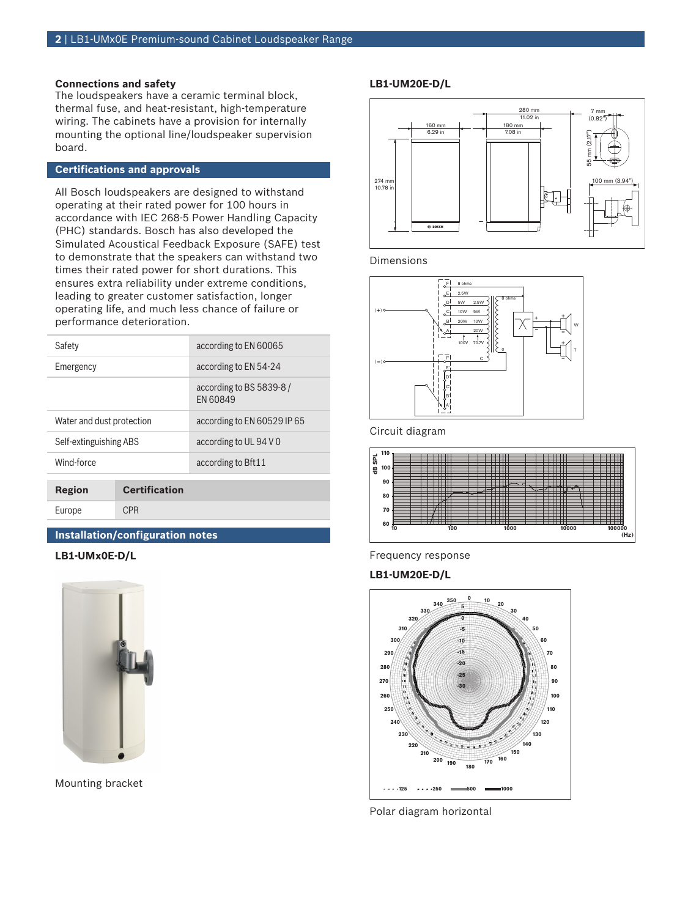# **Connections and safety**

The loudspeakers have a ceramic terminal block, thermal fuse, and heat-resistant, high-temperature wiring. The cabinets have a provision for internally mounting the optional line/loudspeaker supervision board.

# **Certifications and approvals**

All Bosch loudspeakers are designed to withstand operating at their rated power for 100 hours in accordance with IEC 268‑5 Power Handling Capacity (PHC) standards. Bosch has also developed the Simulated Acoustical Feedback Exposure (SAFE) test to demonstrate that the speakers can withstand two times their rated power for short durations. This ensures extra reliability under extreme conditions, leading to greater customer satisfaction, longer operating life, and much less chance of failure or performance deterioration.

| Region                    | <b>Certification</b> |                                     |  |
|---------------------------|----------------------|-------------------------------------|--|
| Wind-force                |                      | according to Bft11                  |  |
| Self-extinguishing ABS    |                      | according to UL 94 V 0              |  |
| Water and dust protection |                      | according to EN 60529 IP 65         |  |
|                           |                      | according to BS 5839-8/<br>FN 60849 |  |
| Emergency                 |                      | according to EN 54-24               |  |
| Safety                    |                      | according to EN 60065               |  |

# **Installation/configuration notes**

**LB1‑UMx0E‑D/L**

Europe CPR



Mounting bracket

# **LB1‑UM20E‑D/L**



Dimensions



Circuit diagram



Frequency response

#### **LB1‑UM20E‑D/L**



Polar diagram horizontal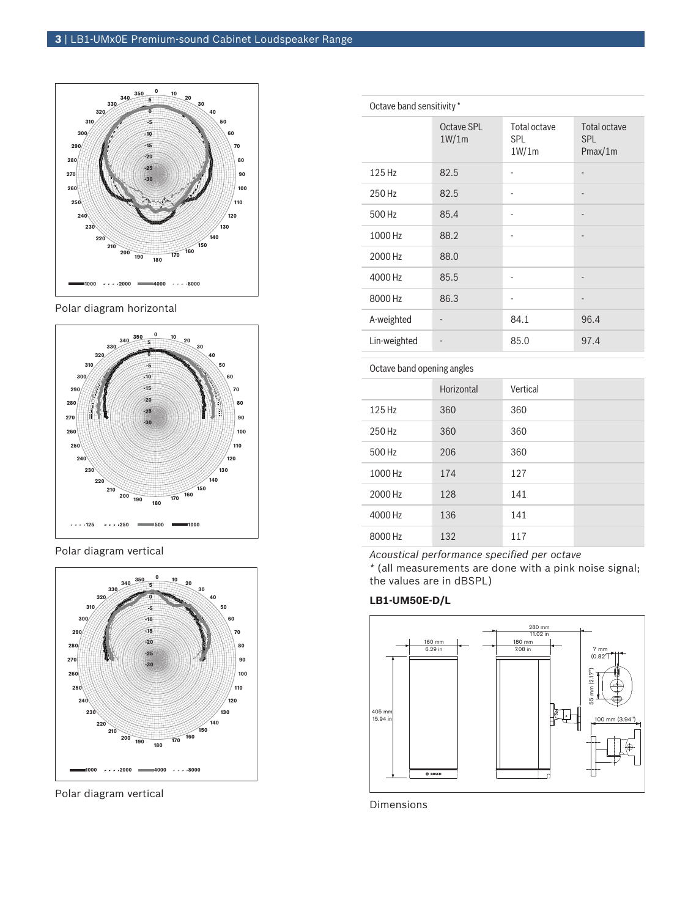

Polar diagram horizontal



Polar diagram vertical



Polar diagram vertical

| Octave band sensitivity * |                     |                                     |                                       |
|---------------------------|---------------------|-------------------------------------|---------------------------------------|
|                           | Octave SPL<br>1W/1m | Total octave<br><b>SPL</b><br>1W/1m | Total octave<br><b>SPL</b><br>Pmax/1m |
| 125 Hz                    | 82.5                | -                                   |                                       |
| 250 Hz                    | 82.5                | $\overline{\phantom{a}}$            |                                       |
| 500 Hz                    | 85.4                | $\overline{\phantom{m}}$            |                                       |
| 1000 Hz                   | 88.2                | $\overline{\phantom{m}}$            | $\overline{\phantom{m}}$              |
| 2000 Hz                   | 88.0                |                                     |                                       |
| 4000 Hz                   | 85.5                | ٠                                   |                                       |
| 8000 Hz                   | 86.3                |                                     |                                       |
| A-weighted                |                     | 84.1                                | 96.4                                  |
| Lin-weighted              |                     | 85.0                                | 97.4                                  |

Octave band opening angles

|         | Horizontal | Vertical |  |
|---------|------------|----------|--|
| 125 Hz  | 360        | 360      |  |
| 250 Hz  | 360        | 360      |  |
| 500 Hz  | 206        | 360      |  |
| 1000 Hz | 174        | 127      |  |
| 2000 Hz | 128        | 141      |  |
| 4000 Hz | 136        | 141      |  |
| 8000 Hz | 132        | 117      |  |

*Acoustical performance specified per octave \** (all measurements are done with a pink noise signal; the values are in dBSPL)

# **LB1‑UM50E‑D/L**



Dimensions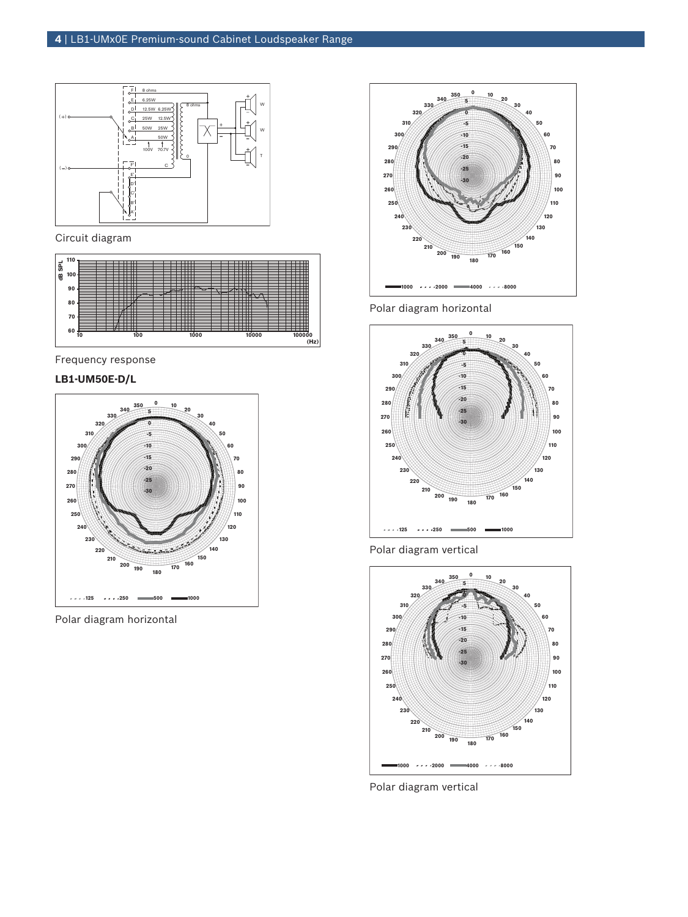

Circuit diagram



Frequency response

# **LB1‑UM50E‑D/L**



Polar diagram horizontal



Polar diagram horizontal



Polar diagram vertical



Polar diagram vertical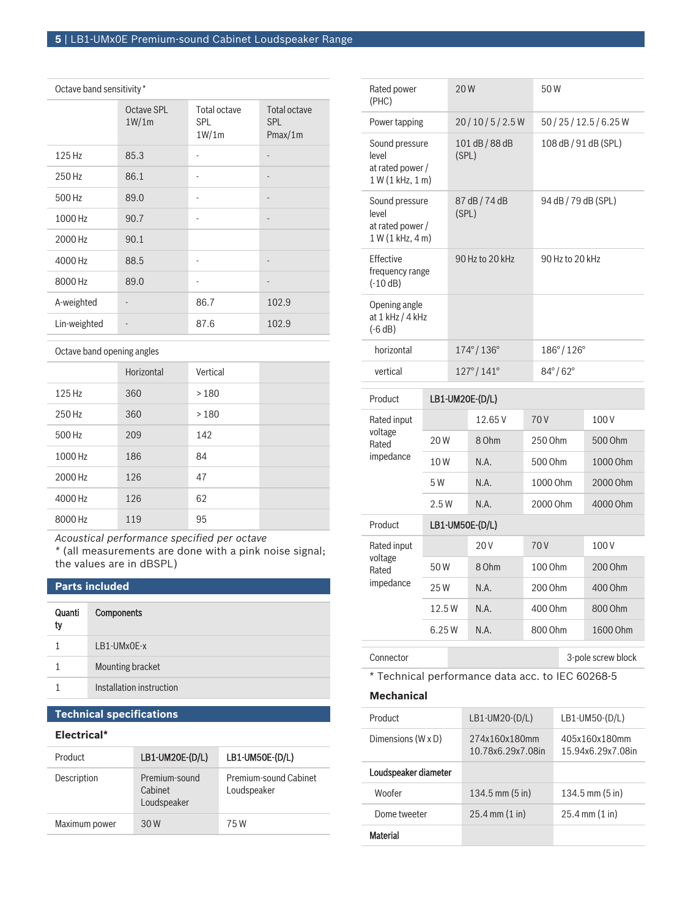# Octave band sensitivity \*

|              | Octave SPL<br>1W/1m | Total octave<br>SPL<br>1W/1m | Total octave<br>SPL<br>Pmax/1m |
|--------------|---------------------|------------------------------|--------------------------------|
| 125 Hz       | 85.3                |                              |                                |
| 250 Hz       | 86.1                |                              | $\qquad \qquad \blacksquare$   |
| 500 Hz       | 89.0                |                              | $\qquad \qquad \blacksquare$   |
| 1000 Hz      | 90.7                |                              |                                |
| 2000 Hz      | 90.1                |                              |                                |
| 4000 Hz      | 88.5                |                              | $\qquad \qquad \blacksquare$   |
| 8000 Hz      | 89.0                |                              | $\overline{\phantom{a}}$       |
| A-weighted   |                     | 86.7                         | 102.9                          |
| Lin-weighted |                     | 87.6                         | 102.9                          |

Octave band opening angles

|         | Horizontal | Vertical |  |
|---------|------------|----------|--|
| 125 Hz  | 360        | >180     |  |
| 250 Hz  | 360        | >180     |  |
| 500 Hz  | 209        | 142      |  |
| 1000 Hz | 186        | 84       |  |
| 2000 Hz | 126        | 47       |  |
| 4000 Hz | 126        | 62       |  |
| 8000 Hz | 119        | 95       |  |

*Acoustical performance specified per octave*

*\** (all measurements are done with a pink noise signal; the values are in dBSPL)

# **Parts included**

| Quanti<br>ty | <b>Components</b>        |
|--------------|--------------------------|
|              | LB1-UMx0E-x              |
|              | Mounting bracket         |
|              | Installation instruction |

# **Technical specifications**

# **Electrical\***

| Product       | LB1-UM20E-(D/L)                         | LB1-UM50E-(D/L)                      |
|---------------|-----------------------------------------|--------------------------------------|
| Description   | Premium-sound<br>Cabinet<br>Loudspeaker | Premium-sound Cabinet<br>Loudspeaker |
| Maximum power | 30 W                                    | 75 W                                 |

| Rated power<br>(PHC)                                            | 20W                                                    |                           |                           |                         | 50W                     |  |                    |
|-----------------------------------------------------------------|--------------------------------------------------------|---------------------------|---------------------------|-------------------------|-------------------------|--|--------------------|
| Power tapping                                                   |                                                        | 20/10/5/2.5W              |                           | 50 / 25 / 12.5 / 6.25 W |                         |  |                    |
| Sound pressure<br>level<br>at rated power /<br>1 W (1 kHz, 1 m) |                                                        | 101 dB / 88 dB<br>(SPL)   |                           | 108 dB / 91 dB (SPL)    |                         |  |                    |
| level                                                           | Sound pressure<br>at rated power /<br>1 W (1 kHz, 4 m) |                           | 87 dB / 74 dB<br>(SPL)    |                         | 94 dB / 79 dB (SPL)     |  |                    |
| Effective<br>frequency range<br>$(-10 dB)$                      |                                                        |                           | 90 Hz to 20 kHz           |                         | 90 Hz to 20 kHz         |  |                    |
| Opening angle<br>at 1 kHz / 4 kHz<br>$(-6 dB)$                  |                                                        |                           |                           |                         |                         |  |                    |
| horizontal                                                      |                                                        | $174^{\circ}/136^{\circ}$ |                           | 186°/126°               |                         |  |                    |
| vertical                                                        |                                                        |                           | $127^{\circ}/141^{\circ}$ |                         | $84^{\circ}/62^{\circ}$ |  |                    |
| Product                                                         |                                                        | LB1-UM20E-(D/L)           |                           |                         |                         |  |                    |
| Rated input                                                     |                                                        |                           | 12.65V                    |                         | 70 V                    |  | 100V               |
| voltage<br>Rated                                                | 20W                                                    |                           | 8 Ohm                     |                         | 250 Ohm                 |  | 500 Ohm            |
| impedance                                                       | 10W                                                    |                           | N.A.                      |                         | 500 Ohm                 |  | 1000 Ohm           |
|                                                                 | 5 W                                                    |                           | N.A.                      |                         | 1000 Ohm                |  | 2000 Ohm           |
|                                                                 | 2.5W                                                   |                           | N.A.                      |                         | 2000 Ohm                |  | 4000 Ohm           |
| Product                                                         | LB1-UM50E-(D/L)                                        |                           |                           |                         |                         |  |                    |
| Rated input                                                     |                                                        |                           | 20V                       |                         | 70 V                    |  | 100V               |
| voltage<br>Rated                                                | 50W                                                    |                           | 8 Ohm                     |                         | 100 Ohm                 |  | 200 Ohm            |
| impedance                                                       | 25W                                                    |                           | N.A.                      |                         | 200 Ohm                 |  | 400 Ohm            |
|                                                                 | 12.5W                                                  |                           | N.A.                      |                         | 400 Ohm                 |  | 800 Ohm            |
|                                                                 | 6.25W                                                  |                           | N.A.                      |                         | 800 Ohm                 |  | 1600 Ohm           |
| Connector                                                       |                                                        |                           |                           |                         |                         |  | 3-pole screw block |

\* Technical performance data acc. to IEC 60268‑5

# **Mechanical**

| Product              | $LB1-UM20-(D/L)$                   | LB1-UM50-(D/L)                     |
|----------------------|------------------------------------|------------------------------------|
| Dimensions (W x D)   | 274x160x180mm<br>10.78x6.29x7.08in | 405x160x180mm<br>15.94x6.29x7.08in |
| Loudspeaker diameter |                                    |                                    |
| Woofer               | $134.5$ mm $(5 \text{ in})$        | $134.5$ mm $(5 \text{ in})$        |
| Dome tweeter         | $25.4$ mm $(1 \text{ in})$         | $25.4 \, \text{mm}$ (1 in)         |
| Material             |                                    |                                    |
|                      |                                    |                                    |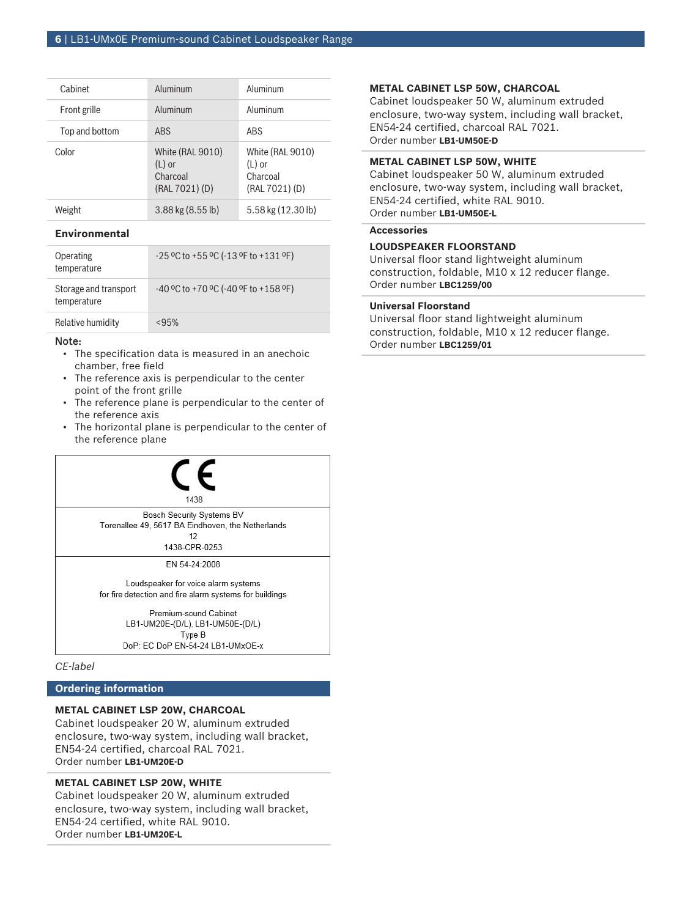| Cabinet        | Aluminum                                                   | Aluminum                                                   |
|----------------|------------------------------------------------------------|------------------------------------------------------------|
| Front grille   | Aluminum                                                   | Aluminum                                                   |
| Top and bottom | <b>ABS</b>                                                 | ARS                                                        |
| Color          | White (RAL 9010)<br>$(L)$ or<br>Charcoal<br>(RAL 7021) (D) | White (RAL 9010)<br>$(L)$ or<br>Charcoal<br>(RAL 7021) (D) |
| Weight         | $3.88$ kg $(8.55$ lb)                                      | 5.58 kg (12.30 lb)                                         |

# **Environmental**

| Operating<br>temperature             | $-25$ °C to +55 °C ( $-13$ °F to +131 °F) |
|--------------------------------------|-------------------------------------------|
| Storage and transport<br>temperature | $-40$ °C to +70 °C (-40 °F to +158 °F)    |
| Relative humidity                    | < 95%                                     |

#### Note:

- The specification data is measured in an anechoic chamber, free field
- The reference axis is perpendicular to the center point of the front grille
- The reference plane is perpendicular to the center of the reference axis
- The horizontal plane is perpendicular to the center of the reference plane



# **Ordering information**

# **METAL CABINET LSP 20W, CHARCOAL**

Cabinet loudspeaker 20 W, aluminum extruded enclosure, two-way system, including wall bracket, EN54-24 certified, charcoal RAL 7021. Order number **LB1-UM20E-D**

# **METAL CABINET LSP 20W, WHITE**

Cabinet loudspeaker 20 W, aluminum extruded enclosure, two-way system, including wall bracket, EN54-24 certified, white RAL 9010. Order number **LB1-UM20E-L**

#### **METAL CABINET LSP 50W, CHARCOAL**

Cabinet loudspeaker 50 W, aluminum extruded enclosure, two-way system, including wall bracket, EN54-24 certified, charcoal RAL 7021. Order number **LB1-UM50E-D**

#### **METAL CABINET LSP 50W, WHITE**

Cabinet loudspeaker 50 W, aluminum extruded enclosure, two-way system, including wall bracket, EN54-24 certified, white RAL 9010. Order number **LB1-UM50E-L**

# **Accessories**

# **LOUDSPEAKER FLOORSTAND**

Universal floor stand lightweight aluminum construction, foldable, M10 x 12 reducer flange. Order number **LBC1259/00**

#### **Universal Floorstand**

Universal floor stand lightweight aluminum construction, foldable, M10 x 12 reducer flange. Order number **LBC1259/01**